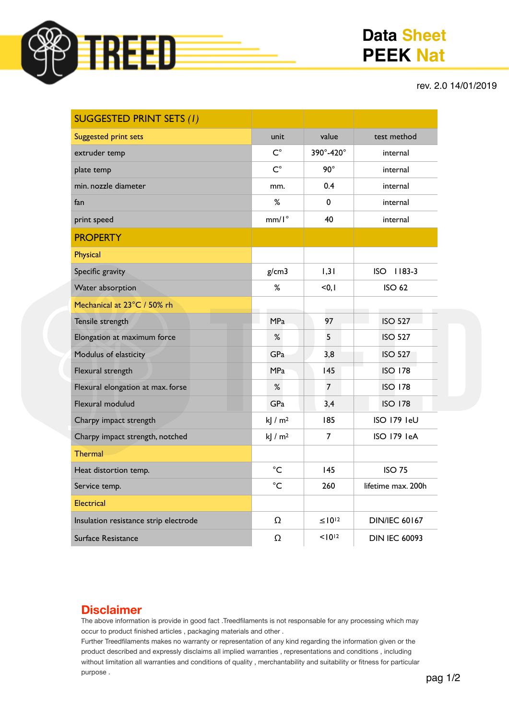

# **Data Sheet PEEK Nat**

#### rev. 2.0 14/01/2019

| <b>SUGGESTED PRINT SETS (1)</b>       |                        |                |                        |
|---------------------------------------|------------------------|----------------|------------------------|
| <b>Suggested print sets</b>           | unit                   | value          | test method            |
| extruder temp                         | $C^{\circ}$            | 390°-420°      | internal               |
| plate temp                            | $C^{\circ}$            | $90^\circ$     | internal               |
| min. nozzle diameter                  | mm.                    | 0.4            | internal               |
| fan                                   | %                      | 0              | internal               |
| print speed                           | $mm/I^{\circ}$         | 40             | internal               |
| <b>PROPERTY</b>                       |                        |                |                        |
| Physical                              |                        |                |                        |
| Specific gravity                      | g/cm3                  | 1,31           | $1183-3$<br><b>ISO</b> |
| Water absorption                      | %                      | < 0, 1         | <b>ISO 62</b>          |
| Mechanical at 23°C / 50% rh           |                        |                |                        |
| Tensile strength                      | <b>MPa</b>             | 97             | <b>ISO 527</b>         |
| Elongation at maximum force           | ℅                      | 5              | <b>ISO 527</b>         |
| Modulus of elasticity                 | GPa                    | 3,8            | <b>ISO 527</b>         |
| Flexural strength                     | <b>MPa</b>             | 145            | <b>ISO 178</b>         |
| Flexural elongation at max. forse     | %                      | $\overline{7}$ | <b>ISO 178</b>         |
| Flexural modulud                      | GPa                    | 3,4            | <b>ISO 178</b>         |
| Charpy impact strength                | $k$   / m <sup>2</sup> | 185            | ISO 179 IeU            |
| Charpy impact strength, notched       | kJ $/m2$               | 7              | ISO 179 IeA            |
| <b>Thermal</b>                        |                        |                |                        |
| Heat distortion temp.                 | $^{\circ}$ C           | 145            | <b>ISO 75</b>          |
| Service temp.                         | $^{\circ}$ C           | 260            | lifetime max. 200h     |
| Electrical                            |                        |                |                        |
| Insulation resistance strip electrode | Ω                      | $\leq 10^{12}$ | <b>DIN/IEC 60167</b>   |
| Surface Resistance                    | Ω                      | $10^{12}$      | <b>DIN IEC 60093</b>   |

### **Disclaimer**

The above information is provide in good fact .Treedfilaments is not responsable for any processing which may occur to product finished articles , packaging materials and other .

Further Treedfilaments makes no warranty or representation of any kind regarding the information given or the product described and expressly disclaims all implied warranties , representations and conditions , including without limitation all warranties and conditions of quality , merchantability and suitability or fitness for particular purpose .